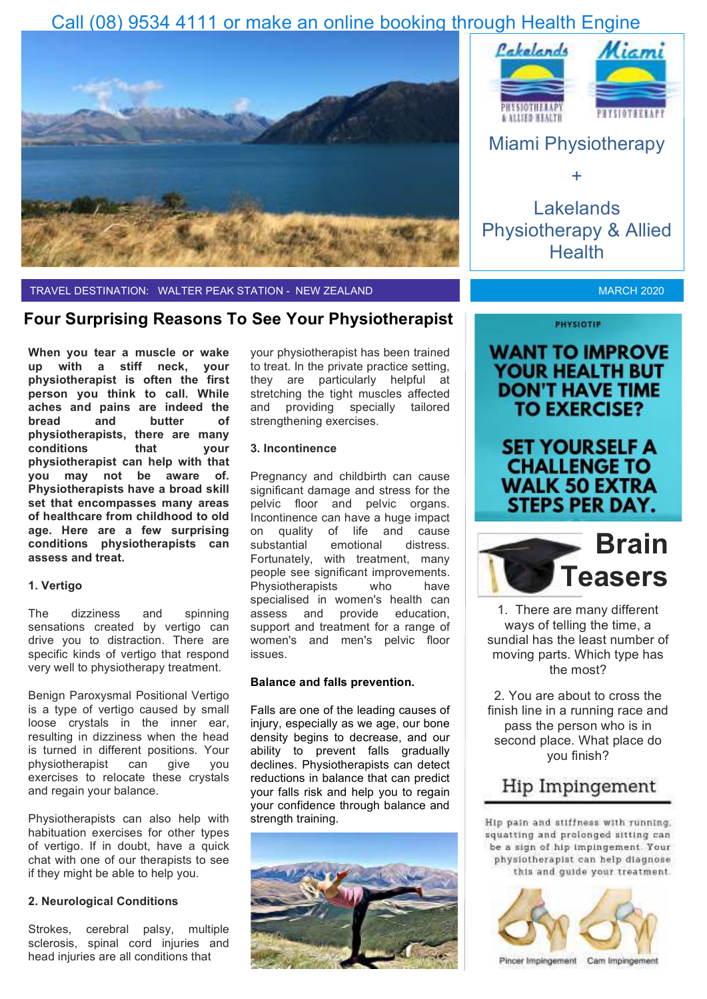## Call (08) 9534 4111 or make an online booking through Health Engine



TRAVEL DESTINATION: WALTER PEAK STATION - NEW ZEALAND

### **Four Surprising Reasons To See Your Physiotherapist**

**When you tear a muscle or wake up with a stiff neck, your physiotherapist is often the first person you think to call. While aches and pains are indeed the bread and butter of physiotherapists, there are many conditions that your physiotherapist can help with that you may not be aware of. Physiotherapists have a broad skill set that encompasses many areas of healthcare from childhood to old age. Here are a few surprising conditions physiotherapists can assess and treat.** 

### **1. Vertigo**

The dizziness and spinning sensations created by vertigo can drive you to distraction. There are specific kinds of vertigo that respond very well to physiotherapy treatment.

Benign Paroxysmal Positional Vertigo is a type of vertigo caused by small loose crystals in the inner ear, resulting in dizziness when the head is turned in different positions. Your<br>physiotherapist can give you physiotherapist can give you exercises to relocate these crystals and regain your balance.

Physiotherapists can also help with habituation exercises for other types of vertigo. If in doubt, have a quick chat with one of our therapists to see if they might be able to help you.

### **2. Neurological Conditions**

Strokes, cerebral palsy, multiple sclerosis, spinal cord injuries and head injuries are all conditions that

your physiotherapist has been trained to treat. In the private practice setting, they are particularly helpful at stretching the tight muscles affected and providing specially tailored strengthening exercises.

### **3. Incontinence**

Pregnancy and childbirth can cause significant damage and stress for the pelvic floor and pelvic organs. Incontinence can have a huge impact on quality of life and cause substantial emotional distress. Fortunately, with treatment, many people see significant improvements. Physiotherapists who have specialised in women's health can assess and provide education, support and treatment for a range of women's and men's pelvic floor issues.

### **Balance and falls prevention.**

Falls are one of the leading causes of injury, especially as we age, our bone density begins to decrease, and our ability to prevent falls gradually declines. Physiotherapists can detect reductions in balance that can predict your falls risk and help you to regain your confidence through balance and strength training.







+

Lakelands Physiotherapy & Allied **Health** 

**MARCH 2020** 

**WANT TO IMPROVE YOUR HEALTH BUT DON'T HAVE TIME TO EXERCISE?** 

**PHYSIOTIP** 

## **SET YOURSELF A CHALLENGE TO WALK 50 EXTRA STEPS PER DAY.**



1. There are many different ways of telling the time, a sundial has the least number of moving parts. Which type has the most?

2. You are about to cross the finish line in a running race and pass the person who is in second place. What place do you finish?

### Hip Impingement

Hip pain and stiffness with running. squatting and prolonged sitting can be a sign of hip impingement. Your physiotherapist can help diagnose this and guide your treatment.



Pincer Impingement Cam Impingement